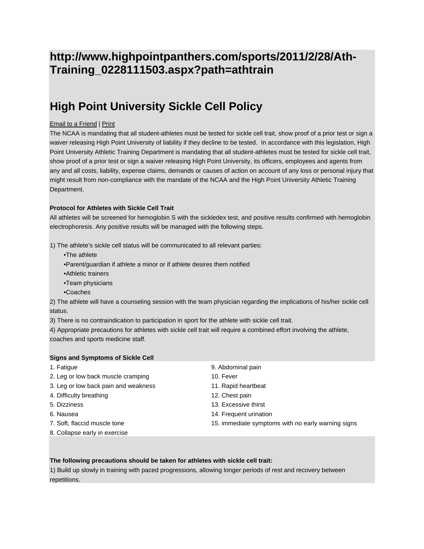# **http://www.highpointpanthers.com/sports/2011/2/28/Ath-Training\_0228111503.aspx?path=athtrain**

# **High Point University Sickle Cell Policy**

## Email to a Friend | Print

The NCAA is mandating that all student-athletes must be tested for sickle cell trait, show proof of a prior test or sign a waiver releasing High Point University of liability if they decline to be tested. In accordance with this legislation, High Point University Athletic Training Department is mandating that all student-athletes must be tested for sickle cell trait, show proof of a prior test or sign a waiver releasing High Point University, its officers, employees and agents from any and all costs, liability, expense claims, demands or causes of action on account of any loss or personal injury that might result from non-compliance with the mandate of the NCAA and the High Point University Athletic Training Department.

### **Protocol for Athletes with Sickle Cell Trait**

All athletes will be screened for hemoglobin S with the sickledex test, and positive results confirmed with hemoglobin electrophoresis. Any positive results will be managed with the following steps.

1) The athlete's sickle cell status will be communicated to all relevant parties:

- •The athlete
- •Parent/guardian if athlete a minor or if athlete desires them notified
- •Athletic trainers
- •Team physicians
- •Coaches

2) The athlete will have a counseling session with the team physician regarding the implications of his/her sickle cell status.

3) There is no contraindication to participation in sport for the athlete with sickle cell trait.

4) Appropriate precautions for athletes with sickle cell trait will require a combined effort involving the athlete, coaches and sports medicine staff.

### **Signs and Symptoms of Sickle Cell**

1. Fatigue 9. Abdominal pain 2. Leg or low back muscle cramping 10. Fever 3. Leg or low back pain and weakness 11. Rapid heartbeat 4. Difficulty breathing 12. Chest pain 5. Dizziness 13. Excessive thirst 6. Nausea 14. Frequent urination 7. Soft, flaccid muscle tone 15. immediate symptoms with no early warning signs 8. Collapse early in exercise

#### **The following precautions should be taken for athletes with sickle cell trait:**

1) Build up slowly in training with paced progressions, allowing longer periods of rest and recovery between repetitions.